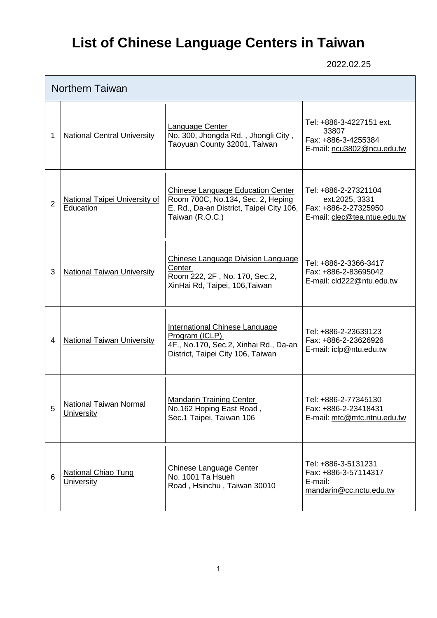## **List of Chinese Language Centers in Taiwan**

2022.02.25

|   | <b>Northern Taiwan</b>                            |                                                                                                                                       |                                                                                                |  |  |
|---|---------------------------------------------------|---------------------------------------------------------------------------------------------------------------------------------------|------------------------------------------------------------------------------------------------|--|--|
| 1 | <b>National Central University</b>                | <b>Language Center</b><br>No. 300, Jhongda Rd., Jhongli City,<br>Taoyuan County 32001, Taiwan                                         | Tel: +886-3-4227151 ext.<br>33807<br>Fax: +886-3-4255384<br>E-mail: ncu3802@ncu.edu.tw         |  |  |
| 2 | <b>National Taipei University of</b><br>Education | Chinese Language Education Center<br>Room 700C, No.134, Sec. 2, Heping<br>E. Rd., Da-an District, Taipei City 106,<br>Taiwan (R.O.C.) | Tel: +886-2-27321104<br>ext.2025, 3331<br>Fax: +886-2-27325950<br>E-mail: clec@tea.ntue.edu.tw |  |  |
| 3 | <b>National Taiwan University</b>                 | <b>Chinese Language Division Language</b><br>Center<br>Room 222, 2F, No. 170, Sec.2,<br>XinHai Rd, Taipei, 106, Taiwan                | Tel: +886-2-3366-3417<br>Fax: +886-2-83695042<br>E-mail: cld222@ntu.edu.tw                     |  |  |
| 4 | <b>National Taiwan University</b>                 | <b>International Chinese Language</b><br>Program (ICLP)<br>4F., No.170, Sec.2, Xinhai Rd., Da-an<br>District, Taipei City 106, Taiwan | Tel: +886-2-23639123<br>Fax: +886-2-23626926<br>E-mail: iclp@ntu.edu.tw                        |  |  |
| 5 | National Taiwan Normal<br>University              | <b>Mandarin Training Center</b><br>No.162 Hoping East Road,<br>Sec.1 Taipei, Taiwan 106                                               | Tel: +886-2-77345130<br>Fax: +886-2-23418431<br>E-mail: mtc@mtc.ntnu.edu.tw                    |  |  |
| 6 | <b>National Chiao Tung</b><br><b>University</b>   | <b>Chinese Language Center</b><br>No. 1001 Ta Hsueh<br>Road, Hsinchu, Taiwan 30010                                                    | Tel: +886-3-5131231<br>Fax: +886-3-57114317<br>E-mail:<br>mandarin@cc.nctu.edu.tw              |  |  |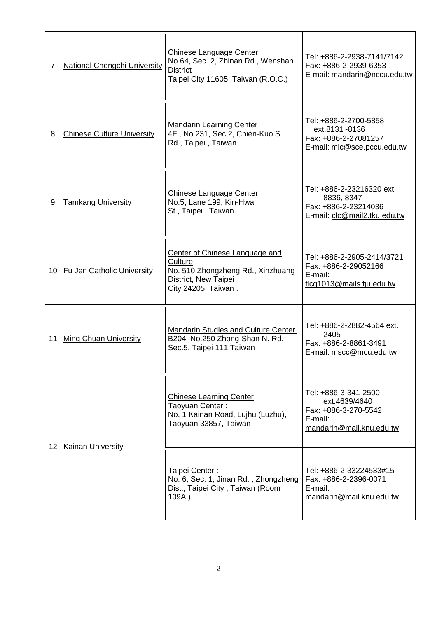| 7               | <b>National Chengchi University</b> | Chinese Language Center<br>No.64, Sec. 2, Zhinan Rd., Wenshan<br><b>District</b><br>Taipei City 11605, Taiwan (R.O.C.)        | Tel: +886-2-2938-7141/7142<br>Fax: +886-2-2939-6353<br>E-mail: mandarin@nccu.edu.tw                  |
|-----------------|-------------------------------------|-------------------------------------------------------------------------------------------------------------------------------|------------------------------------------------------------------------------------------------------|
| 8               | <b>Chinese Culture University</b>   | <b>Mandarin Learning Center</b><br>4F, No.231, Sec.2, Chien-Kuo S.<br>Rd., Taipei, Taiwan                                     | Tel: +886-2-2700-5858<br>ext.8131~8136<br>Fax: +886-2-27081257<br>E-mail: mlc@sce.pccu.edu.tw        |
| 9               | <b>Tamkang University</b>           | Chinese Language Center<br>No.5, Lane 199, Kin-Hwa<br>St., Taipei, Taiwan                                                     | Tel: +886-2-23216320 ext.<br>8836, 8347<br>Fax: +886-2-23214036<br>E-mail: clc@mail2.tku.edu.tw      |
| 10              | <b>Fu Jen Catholic University</b>   | Center of Chinese Language and<br>Culture<br>No. 510 Zhongzheng Rd., Xinzhuang<br>District, New Taipei<br>City 24205, Taiwan. | Tel: +886-2-2905-2414/3721<br>Fax: +886-2-29052166<br>E-mail:<br>flcg1013@mails.fju.edu.tw           |
| 11              | <b>Ming Chuan University</b>        | Mandarin Studies and Culture Center<br>B204, No.250 Zhong-Shan N. Rd.<br>Sec.5, Taipei 111 Taiwan                             | Tel: +886-2-2882-4564 ext.<br>2405<br>Fax: +886-2-8861-3491<br>E-mail: mscc@mcu.edu.tw               |
| 12 <sup>2</sup> |                                     | <b>Chinese Learning Center</b><br>Taoyuan Center:<br>No. 1 Kainan Road, Lujhu (Luzhu),<br>Taoyuan 33857, Taiwan               | Tel: +886-3-341-2500<br>ext.4639/4640<br>Fax: +886-3-270-5542<br>E-mail:<br>mandarin@mail.knu.edu.tw |
|                 | Kainan University                   | Taipei Center:<br>No. 6, Sec. 1, Jinan Rd., Zhongzheng<br>Dist., Taipei City, Taiwan (Room<br>109A)                           | Tel: +886-2-33224533#15<br>Fax: +886-2-2396-0071<br>E-mail:<br>mandarin@mail.knu.edu.tw              |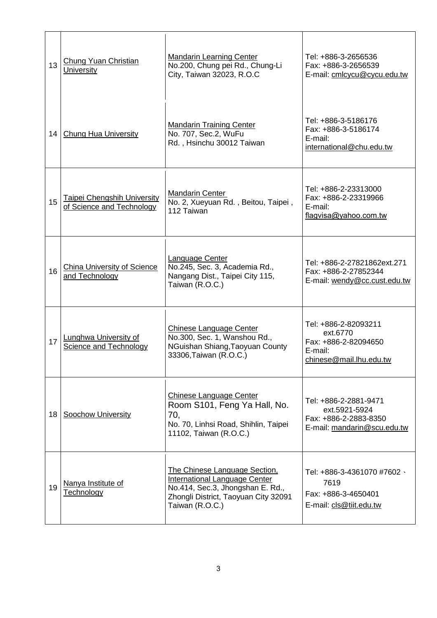| 13 | <b>Chung Yuan Christian</b><br><b>University</b>                | <b>Mandarin Learning Center</b><br>No.200, Chung pei Rd., Chung-Li<br>City, Taiwan 32023, R.O.C                                                               | Tel: +886-3-2656536<br>Fax: +886-3-2656539<br>E-mail: cmlcycu@cycu.edu.tw                      |
|----|-----------------------------------------------------------------|---------------------------------------------------------------------------------------------------------------------------------------------------------------|------------------------------------------------------------------------------------------------|
| 14 | <b>Chung Hua University</b>                                     | <b>Mandarin Training Center</b><br>No. 707, Sec.2, WuFu<br>Rd., Hsinchu 30012 Taiwan                                                                          | Tel: +886-3-5186176<br>Fax: +886-3-5186174<br>E-mail:<br>international@chu.edu.tw              |
| 15 | <b>Taipei Chengshih University</b><br>of Science and Technology | <b>Mandarin Center</b><br>No. 2, Xueyuan Rd., Beitou, Taipei,<br>112 Taiwan                                                                                   | Tel: +886-2-23313000<br>Fax: +886-2-23319966<br>E-mail:<br>flagvisa@yahoo.com.tw               |
| 16 | <b>China University of Science</b><br>and Technology            | <b>Language Center</b><br>No.245, Sec. 3, Academia Rd.,<br>Nangang Dist., Taipei City 115,<br>Taiwan (R.O.C.)                                                 | Tel: +886-2-27821862ext.271<br>Fax: +886-2-27852344<br>E-mail: wendy@cc.cust.edu.tw            |
| 17 | <b>Lunghwa University of</b><br><b>Science and Technology</b>   | Chinese Language Center<br>No.300, Sec. 1, Wanshou Rd.,<br>NGuishan Shiang, Taoyuan County<br>33306, Taiwan (R.O.C.)                                          | Tel: +886-2-82093211<br>ext.6770<br>Fax: +886-2-82094650<br>E-mail:<br>chinese@mail.lhu.edu.tw |
| 18 | <b>Soochow University</b>                                       | <b>Chinese Language Center</b><br>Room S101, Feng Ya Hall, No.<br>70,<br>No. 70, Linhsi Road, Shihlin, Taipei<br>11102, Taiwan (R.O.C.)                       | Tel: +886-2-2881-9471<br>ext.5921-5924<br>Fax: +886-2-2883-8350<br>E-mail: mandarin@scu.edu.tw |
| 19 | Nanya Institute of<br><b>Technology</b>                         | The Chinese Language Section,<br>International Language Center<br>No.414, Sec.3, Jhongshan E. Rd.,<br>Zhongli District, Taoyuan City 32091<br>Taiwan (R.O.C.) | Tel: +886-3-4361070 #7602 \<br>7619<br>Fax: +886-3-4650401<br>E-mail: cls@tiit.edu.tw          |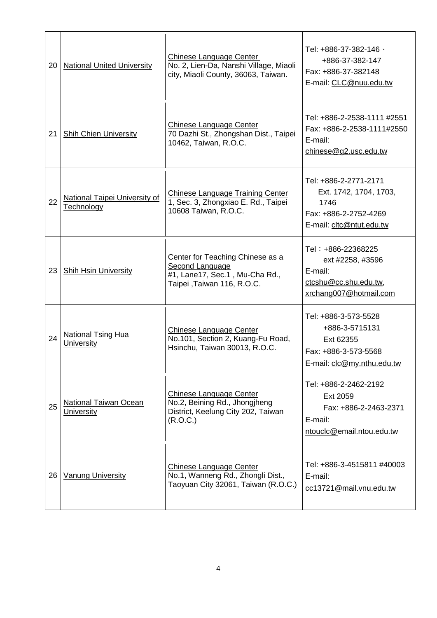| 20 | <b>National United University</b>                  | <b>Chinese Language Center</b><br>No. 2, Lien-Da, Nanshi Village, Miaoli<br>city, Miaoli County, 36063, Taiwan.     | Tel: +886-37-382-146 \<br>+886-37-382-147<br>Fax: +886-37-382148<br>E-mail: CLC@nuu.edu.tw                   |
|----|----------------------------------------------------|---------------------------------------------------------------------------------------------------------------------|--------------------------------------------------------------------------------------------------------------|
| 21 | <b>Shih Chien University</b>                       | <b>Chinese Language Center</b><br>70 Dazhi St., Zhongshan Dist., Taipei<br>10462, Taiwan, R.O.C.                    | Tel: +886-2-2538-1111 #2551<br>Fax: +886-2-2538-1111#2550<br>E-mail:<br>chinese $@$ g2.usc.edu.tw            |
| 22 | National Taipei University of<br><b>Technology</b> | <b>Chinese Language Training Center</b><br>1, Sec. 3, Zhongxiao E. Rd., Taipei<br>10608 Taiwan, R.O.C.              | Tel: +886-2-2771-2171<br>Ext. 1742, 1704, 1703,<br>1746<br>Fax: +886-2-2752-4269<br>E-mail: cltc@ntut.edu.tw |
| 23 | <b>Shih Hsin University</b>                        | Center for Teaching Chinese as a<br>Second Language<br>#1, Lane17, Sec.1, Mu-Cha Rd.,<br>Taipei, Taiwan 116, R.O.C. | Tel: +886-22368225<br>ext #2258, #3596<br>E-mail:<br>ctcshu@cc.shu.edu.tw,<br>xrchang007@hotmail.com         |
| 24 | <b>National Tsing Hua</b><br>University            | <b>Chinese Language Center</b><br>No.101, Section 2, Kuang-Fu Road,<br>Hsinchu, Taiwan 30013, R.O.C.                | Tel: +886-3-573-5528<br>+886-3-5715131<br>Ext 62355<br>Fax: +886-3-573-5568<br>E-mail: clc@my.nthu.edu.tw    |
| 25 | <b>National Taiwan Ocean</b><br>University         | <b>Chinese Language Center</b><br>No.2, Beining Rd., Jhongjheng<br>District, Keelung City 202, Taiwan<br>(R.O.C.)   | Tel: +886-2-2462-2192<br>Ext 2059<br>Fax: +886-2-2463-2371<br>E-mail:<br>ntouclc@email.ntou.edu.tw           |
| 26 | <b>Vanung University</b>                           | <b>Chinese Language Center</b><br>No.1, Wanneng Rd., Zhongli Dist.,<br>Taoyuan City 32061, Taiwan (R.O.C.)          | Tel: +886-3-4515811 #40003<br>E-mail:<br>cc13721@mail.vnu.edu.tw                                             |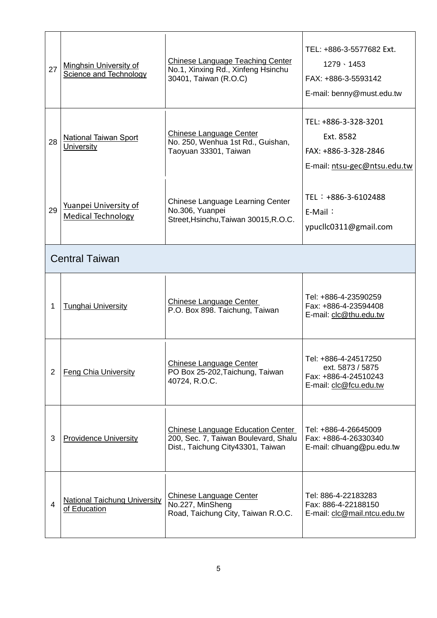| 27             | <b>Minghsin University of</b><br><b>Science and Technology</b> | <b>Chinese Language Teaching Center</b><br>No.1, Xinxing Rd., Xinfeng Hsinchu<br>30401, Taiwan (R.O.C)                | TEL: +886-3-5577682 Ext.<br>$1279 \cdot 1453$<br>FAX: +886-3-5593142<br>E-mail: benny@must.edu.tw |
|----------------|----------------------------------------------------------------|-----------------------------------------------------------------------------------------------------------------------|---------------------------------------------------------------------------------------------------|
| 28             | <b>National Taiwan Sport</b><br>University                     | Chinese Language Center<br>No. 250, Wenhua 1st Rd., Guishan,<br>Taoyuan 33301, Taiwan                                 | TEL: +886-3-328-3201<br>Ext. 8582<br>FAX: +886-3-328-2846<br>E-mail: ntsu-gec@ntsu.edu.tw         |
| 29             | Yuanpei University of<br><b>Medical Technology</b>             | Chinese Language Learning Center<br>No.306, Yuanpei<br>Street, Hsinchu, Taiwan 30015, R.O.C.                          | TEL : +886-3-6102488<br>$E-Mail$ :<br>ypuclic0311@gmail.com                                       |
|                | <b>Central Taiwan</b>                                          |                                                                                                                       |                                                                                                   |
| 1              | <b>Tunghai University</b>                                      | Chinese Language Center<br>P.O. Box 898. Taichung, Taiwan                                                             | Tel: +886-4-23590259<br>Fax: +886-4-23594408<br>E-mail: clc@thu.edu.tw                            |
| $\overline{2}$ | <b>Feng Chia University</b>                                    | Chinese Language Center<br>PO Box 25-202, Taichung, Taiwan<br>40724, R.O.C.                                           | Tel: +886-4-24517250<br>ext. 5873 / 5875<br>Fax: +886-4-24510243<br>E-mail: clc@fcu.edu.tw        |
| 3              | <b>Providence University</b>                                   | <b>Chinese Language Education Center</b><br>200, Sec. 7, Taiwan Boulevard, Shalu<br>Dist., Taichung City43301, Taiwan | Tel: +886-4-26645009<br>Fax: +886-4-26330340<br>E-mail: clhuang@pu.edu.tw                         |
| $\overline{4}$ | <b>National Taichung University</b><br>of Education            | <b>Chinese Language Center</b><br>No.227, MinSheng<br>Road, Taichung City, Taiwan R.O.C.                              | Tel: 886-4-22183283<br>Fax: 886-4-22188150<br>E-mail: clc@mail.ntcu.edu.tw                        |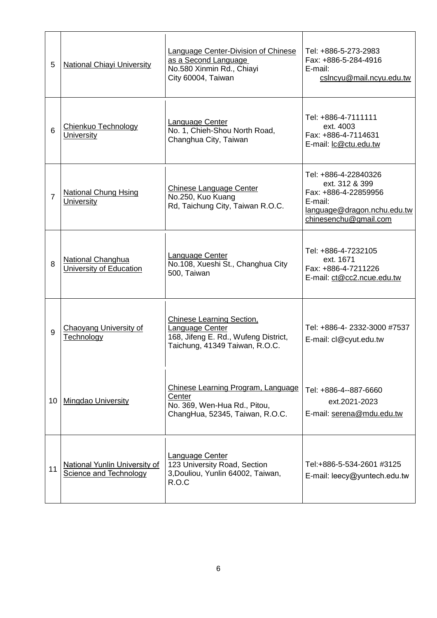| 5  | <b>National Chiayi University</b>                       | <b>Language Center-Division of Chinese</b><br>as a Second Language<br>No.580 Xinmin Rd., Chiayi<br>City 60004, Taiwan  | Tel: +886-5-273-2983<br>Fax: +886-5-284-4916<br>E-mail:<br>cslncyu@mail.ncyu.edu.tw                                               |
|----|---------------------------------------------------------|------------------------------------------------------------------------------------------------------------------------|-----------------------------------------------------------------------------------------------------------------------------------|
| 6  | Chienkuo Technology<br>University                       | <b>Language Center</b><br>No. 1, Chieh-Shou North Road,<br>Changhua City, Taiwan                                       | Tel: +886-4-7111111<br>ext. 4003<br>Fax: +886-4-7114631<br>E-mail: Ic@ctu.edu.tw                                                  |
| 7  | <b>National Chung Hsing</b><br>University               | Chinese Language Center<br>No.250, Kuo Kuang<br>Rd, Taichung City, Taiwan R.O.C.                                       | Tel: +886-4-22840326<br>ext. 312 & 399<br>Fax: +886-4-22859956<br>E-mail:<br>language@dragon.nchu.edu.tw<br>chinesenchu@gmail.com |
| 8  | National Changhua<br>University of Education            | Language Center<br>No.108, Xueshi St., Changhua City<br>500, Taiwan                                                    | Tel: +886-4-7232105<br>ext. 1671<br>Fax: +886-4-7211226<br>E-mail: ct@cc2.ncue.edu.tw                                             |
| 9  | Chaoyang University of<br>Technology                    | Chinese Learning Section,<br>Language Center<br>168, Jifeng E. Rd., Wufeng District,<br>Taichung, 41349 Taiwan, R.O.C. | Tel: +886-4-2332-3000 #7537<br>E-mail: cl@cyut.edu.tw                                                                             |
| 10 | <b>Mingdao University</b>                               | Chinese Learning Program, Language<br>Center<br>No. 369, Wen-Hua Rd., Pitou,<br>ChangHua, 52345, Taiwan, R.O.C.        | Tel: +886-4--887-6660<br>ext.2021-2023<br>E-mail: serena@mdu.edu.tw                                                               |
| 11 | National Yunlin University of<br>Science and Technology | <b>Language Center</b><br>123 University Road, Section<br>3, Douliou, Yunlin 64002, Taiwan,<br>R.O.C                   | Tel:+886-5-534-2601 #3125<br>E-mail: leecy@yuntech.edu.tw                                                                         |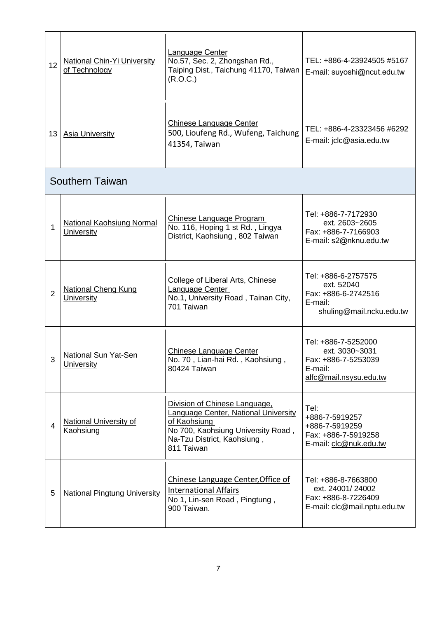| 12             | <b>National Chin-Yi University</b><br>of Technology | Language Center<br>No.57, Sec. 2, Zhongshan Rd.,<br>Taiping Dist., Taichung 41170, Taiwan<br>(R.O.C.)                                                                           | TEL: +886-4-23924505 #5167<br>E-mail: suyoshi@ncut.edu.tw                                         |
|----------------|-----------------------------------------------------|---------------------------------------------------------------------------------------------------------------------------------------------------------------------------------|---------------------------------------------------------------------------------------------------|
| 13             | <b>Asia University</b>                              | <b>Chinese Language Center</b><br>500, Lioufeng Rd., Wufeng, Taichung<br>41354, Taiwan                                                                                          | TEL: +886-4-23323456 #6292<br>E-mail: jclc@asia.edu.tw                                            |
|                | <b>Southern Taiwan</b>                              |                                                                                                                                                                                 |                                                                                                   |
| 1              | <b>National Kaohsiung Normal</b><br>University      | Chinese Language Program<br>No. 116, Hoping 1 st Rd., Lingya<br>District, Kaohsiung, 802 Taiwan                                                                                 | Tel: +886-7-7172930<br>ext. 2603~2605<br>Fax: +886-7-7166903<br>E-mail: s2@nknu.edu.tw            |
| $\overline{2}$ | <b>National Cheng Kung</b><br>University            | College of Liberal Arts, Chinese<br><b>Language Center</b><br>No.1, University Road, Tainan City,<br>701 Taiwan                                                                 | Tel: +886-6-2757575<br>ext. 52040<br>Fax: +886-6-2742516<br>E-mail:<br>shuling@mail.ncku.edu.tw   |
| 3              | National Sun Yat-Sen<br><b>University</b>           | <b>Chinese Language Center</b><br>No. 70, Lian-hai Rd., Kaohsiung,<br>80424 Taiwan                                                                                              | Tel: +886-7-5252000<br>ext. 3030~3031<br>Fax: +886-7-5253039<br>E-mail:<br>alfc@mail.nsysu.edu.tw |
| $\overline{4}$ | <b>National University of</b><br><b>Kaohsiung</b>   | Division of Chinese Language,<br><b>Language Center, National University</b><br>of Kaohsiung<br>No 700, Kaohsiung University Road,<br>Na-Tzu District, Kaohsiung,<br>811 Taiwan | Tel:<br>+886-7-5919257<br>+886-7-5919259<br>Fax: +886-7-5919258<br>E-mail: clc@nuk.edu.tw         |
| 5              | <b>National Pingtung University</b>                 | Chinese Language Center, Office of<br><b>International Affairs</b><br>No 1, Lin-sen Road, Pingtung,<br>900 Taiwan.                                                              | Tel: +886-8-7663800<br>ext. 24001/24002<br>Fax: +886-8-7226409<br>E-mail: clc@mail.nptu.edu.tw    |
|                |                                                     |                                                                                                                                                                                 |                                                                                                   |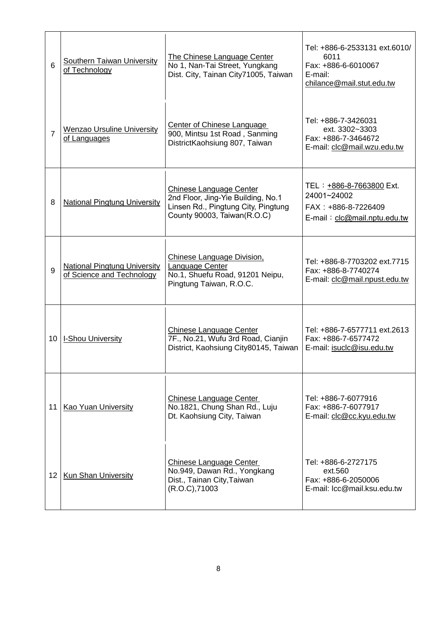| 6               | <b>Southern Taiwan University</b><br>of Technology               | The Chinese Language Center<br>No 1, Nan-Tai Street, Yungkang<br>Dist. City, Tainan City71005, Taiwan                               | Tel: +886-6-2533131 ext.6010/<br>6011<br>Fax: +886-6-6010067<br>E-mail:<br>chilance@mail.stut.edu.tw          |
|-----------------|------------------------------------------------------------------|-------------------------------------------------------------------------------------------------------------------------------------|---------------------------------------------------------------------------------------------------------------|
| $\overline{7}$  | <b>Wenzao Ursuline University</b><br>of Languages                | <b>Center of Chinese Language</b><br>900, Mintsu 1st Road, Sanming<br>DistrictKaohsiung 807, Taiwan                                 | Tel: +886-7-3426031<br>ext. 3302~3303<br>Fax: +886-7-3464672<br>E-mail: clc@mail.wzu.edu.tw                   |
| 8               | <b>National Pingtung University</b>                              | Chinese Language Center<br>2nd Floor, Jing-Yie Building, No.1<br>Linsen Rd., Pingtung City, Pingtung<br>County 90003, Taiwan(R.O.C) | TEL: +886-8-7663800 Ext.<br>24001~24002<br>FAX: +886-8-7226409<br>$E$ -mail: $clc$ $\oslash$ mail.nptu.edu.tw |
| 9               | <b>National Pingtung University</b><br>of Science and Technology | <b>Chinese Language Division.</b><br>Language Center<br>No.1, Shuefu Road, 91201 Neipu,<br>Pingtung Taiwan, R.O.C.                  | Tel: +886-8-7703202 ext.7715<br>Fax: +886-8-7740274<br>E-mail: clc@mail.npust.edu.tw                          |
| 10              | <b>I-Shou University</b>                                         | Chinese Language Center<br>7F., No.21, Wufu 3rd Road, Cianjin<br>District, Kaohsiung City80145, Taiwan                              | Tel: +886-7-6577711 ext.2613<br>Fax: +886-7-6577472<br>E-mail: isuclc@isu.edu.tw                              |
| 11              | Kao Yuan University                                              | Chinese Language Center<br>No.1821, Chung Shan Rd., Luju<br>Dt. Kaohsiung City, Taiwan                                              | Tel: +886-7-6077916<br>Fax: +886-7-6077917<br>E-mail: clc@cc.kyu.edu.tw                                       |
| 12 <sub>1</sub> | <b>Kun Shan University</b>                                       | Chinese Language Center<br>No.949, Dawan Rd., Yongkang<br>Dist., Tainan City, Taiwan<br>(R.O.C), 71003                              | Tel: +886-6-2727175<br>ext.560<br>Fax: +886-6-2050006<br>E-mail: Icc@mail.ksu.edu.tw                          |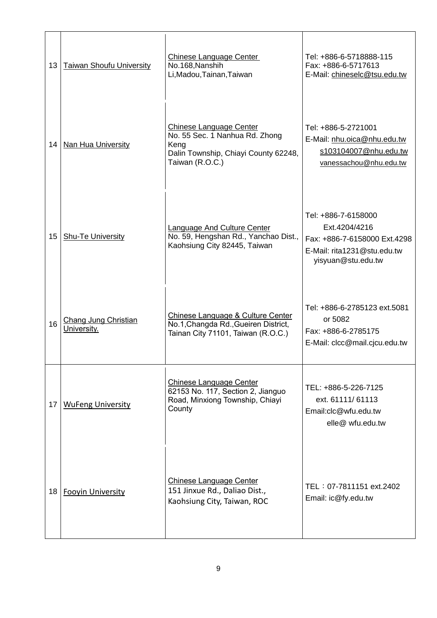| 13 | Taiwan Shoufu University            | Chinese Language Center<br>No.168, Nanshih<br>Li, Madou, Tainan, Taiwan                                                             | Tel: +886-6-5718888-115<br>Fax: +886-6-5717613<br>E-Mail: chineselc@tsu.edu.tw                                            |
|----|-------------------------------------|-------------------------------------------------------------------------------------------------------------------------------------|---------------------------------------------------------------------------------------------------------------------------|
| 14 | <b>Nan Hua University</b>           | <b>Chinese Language Center</b><br>No. 55 Sec. 1 Nanhua Rd. Zhong<br>Keng<br>Dalin Township, Chiayi County 62248,<br>Taiwan (R.O.C.) | Tel: +886-5-2721001<br>E-Mail: nhu.oica@nhu.edu.tw<br>s103104007@nhu.edu.tw<br>vanessachou@nhu.edu.tw                     |
| 15 | <b>Shu-Te University</b>            | <b>Language And Culture Center</b><br>No. 59, Hengshan Rd., Yanchao Dist.,<br>Kaohsiung City 82445, Taiwan                          | Tel: +886-7-6158000<br>Ext.4204/4216<br>Fax: +886-7-6158000 Ext.4298<br>E-Mail: rita1231@stu.edu.tw<br>yisyuan@stu.edu.tw |
| 16 | Chang Jung Christian<br>University. | Chinese Language & Culture Center<br>No.1, Changda Rd., Gueiren District,<br>Tainan City 71101, Taiwan (R.O.C.)                     | Tel: +886-6-2785123 ext.5081<br>or 5082<br>Fax: +886-6-2785175<br>E-Mail: clcc@mail.cjcu.edu.tw                           |
| 17 | <b>WuFeng University</b>            | Chinese Language Center<br>62153 No. 117, Section 2, Jianguo<br>Road, Minxiong Township, Chiayi<br>County                           | TEL: +886-5-226-7125<br>ext. 61111/61113<br>Email:clc@wfu.edu.tw<br>elle@ wfu.edu.tw                                      |
| 18 | <b>Fooyin University</b>            | <b>Chinese Language Center</b><br>151 Jinxue Rd., Daliao Dist.,<br>Kaohsiung City, Taiwan, ROC                                      | TEL: 07-7811151 ext.2402<br>Email: ic@fy.edu.tw                                                                           |